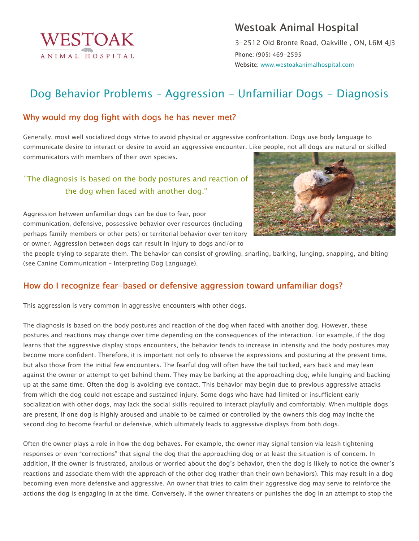

# Westoak Animal Hospital

3-2512 Old Bronte Road, Oakville , ON, L6M 4J3 Phone: (905) 469-2595 Website: www.westoakanimalhospital.com

# Dog Behavior Problems – Aggression - Unfamiliar Dogs - Diagnosis

#### Why would my dog fight with dogs he has never met?

Generally, most well socialized dogs strive to avoid physical or aggressive confrontation. Dogs use body language to communicate desire to interact or desire to avoid an aggressive encounter. Like people, not all dogs are natural or skilled communicators with members of their own species.

## "The diagnosis is based on the body postures and reaction of the dog when faced with another dog."

Aggression between unfamiliar dogs can be due to fear, poor communication, defensive, possessive behavior over resources (including perhaps family members or other pets) or territorial behavior over territory or owner. Aggression between dogs can result in injury to dogs and/or to



the people trying to separate them. The behavior can consist of growling, snarling, barking, lunging, snapping, and biting (see Canine Communication – Interpreting Dog Language).

### How do I recognize fear-based or defensive aggression toward unfamiliar dogs?

This aggression is very common in aggressive encounters with other dogs.

The diagnosis is based on the body postures and reaction of the dog when faced with another dog. However, these postures and reactions may change over time depending on the consequences of the interaction. For example, if the dog learns that the aggressive display stops encounters, the behavior tends to increase in intensity and the body postures may become more confident. Therefore, it is important not only to observe the expressions and posturing at the present time, but also those from the initial few encounters. The fearful dog will often have the tail tucked, ears back and may lean against the owner or attempt to get behind them. They may be barking at the approaching dog, while lunging and backing up at the same time. Often the dog is avoiding eye contact. This behavior may begin due to previous aggressive attacks from which the dog could not escape and sustained injury. Some dogs who have had limited or insufficient early socialization with other dogs, may lack the social skills required to interact playfully and comfortably. When multiple dogs are present, if one dog is highly aroused and unable to be calmed or controlled by the owners this dog may incite the second dog to become fearful or defensive, which ultimately leads to aggressive displays from both dogs.

Often the owner plays a role in how the dog behaves. For example, the owner may signal tension via leash tightening responses or even "corrections" that signal the dog that the approaching dog or at least the situation is of concern. In addition, if the owner is frustrated, anxious or worried about the dog's behavior, then the dog is likely to notice the owner's reactions and associate them with the approach of the other dog (rather than their own behaviors). This may result in a dog becoming even more defensive and aggressive. An owner that tries to calm their aggressive dog may serve to reinforce the actions the dog is engaging in at the time. Conversely, if the owner threatens or punishes the dog in an attempt to stop the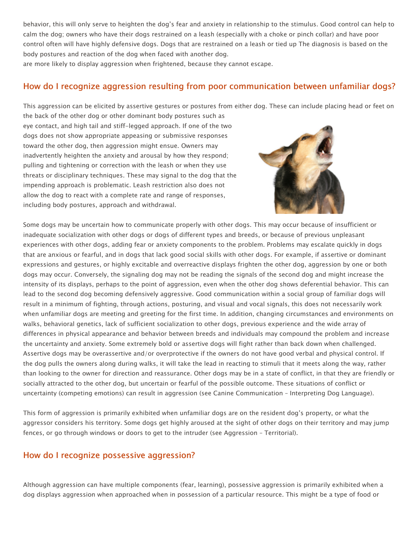behavior, this will only serve to heighten the dog's fear and anxiety in relationship to the stimulus. Good control can help to calm the dog; owners who have their dogs restrained on a leash (especially with a choke or pinch collar) and have poor control often will have highly defensive dogs. Dogs that are restrained on a leash or tied up The diagnosis is based on the body postures and reaction of the dog when faced with another dog.

are more likely to display aggression when frightened, because they cannot escape.

#### How do I recognize aggression resulting from poor communication between unfamiliar dogs?

This aggression can be elicited by assertive gestures or postures from either dog. These can include placing head or feet on

the back of the other dog or other dominant body postures such as eye contact, and high tail and stiff-legged approach. If one of the two dogs does not show appropriate appeasing or submissive responses toward the other dog, then aggression might ensue. Owners may inadvertently heighten the anxiety and arousal by how they respond; pulling and tightening or correction with the leash or when they use threats or disciplinary techniques. These may signal to the dog that the impending approach is problematic. Leash restriction also does not allow the dog to react with a complete rate and range of responses, including body postures, approach and withdrawal.



Some dogs may be uncertain how to communicate properly with other dogs. This may occur because of insufficient or inadequate socialization with other dogs or dogs of different types and breeds, or because of previous unpleasant experiences with other dogs, adding fear or anxiety components to the problem. Problems may escalate quickly in dogs that are anxious or fearful, and in dogs that lack good social skills with other dogs. For example, if assertive or dominant expressions and gestures, or highly excitable and overreactive displays frighten the other dog, aggression by one or both dogs may occur. Conversely, the signaling dog may not be reading the signals of the second dog and might increase the intensity of its displays, perhaps to the point of aggression, even when the other dog shows deferential behavior. This can lead to the second dog becoming defensively aggressive. Good communication within a social group of familiar dogs will result in a minimum of fighting, through actions, posturing, and visual and vocal signals, this does not necessarily work when unfamiliar dogs are meeting and greeting for the first time. In addition, changing circumstances and environments on walks, behavioral genetics, lack of sufficient socialization to other dogs, previous experience and the wide array of differences in physical appearance and behavior between breeds and individuals may compound the problem and increase the uncertainty and anxiety. Some extremely bold or assertive dogs will fight rather than back down when challenged. Assertive dogs may be overassertive and/or overprotective if the owners do not have good verbal and physical control. If the dog pulls the owners along during walks, it will take the lead in reacting to stimuli that it meets along the way, rather than looking to the owner for direction and reassurance. Other dogs may be in a state of conflict, in that they are friendly or socially attracted to the other dog, but uncertain or fearful of the possible outcome. These situations of conflict or uncertainty (competing emotions) can result in aggression (see Canine Communication – Interpreting Dog Language).

This form of aggression is primarily exhibited when unfamiliar dogs are on the resident dog's property, or what the aggressor considers his territory. Some dogs get highly aroused at the sight of other dogs on their territory and may jump fences, or go through windows or doors to get to the intruder (see Aggression – Territorial).

#### How do I recognize possessive aggression?

Although aggression can have multiple components (fear, learning), possessive aggression is primarily exhibited when a dog displays aggression when approached when in possession of a particular resource. This might be a type of food or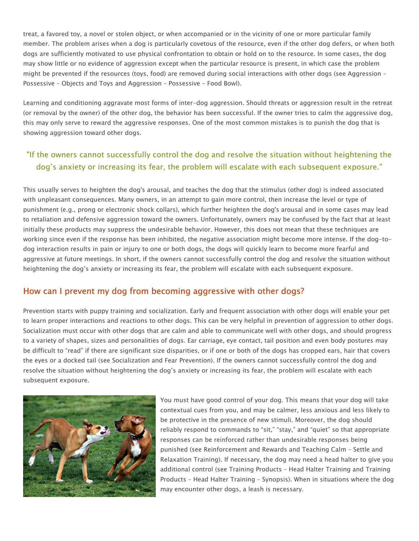treat, a favored toy, a novel or stolen object, or when accompanied or in the vicinity of one or more particular family member. The problem arises when a dog is particularly covetous of the resource, even if the other dog defers, or when both dogs are sufficiently motivated to use physical confrontation to obtain or hold on to the resource. In some cases, the dog may show little or no evidence of aggression except when the particular resource is present, in which case the problem might be prevented if the resources (toys, food) are removed during social interactions with other dogs (see Aggression – Possessive – Objects and Toys and Aggression – Possessive – Food Bowl).

Learning and conditioning aggravate most forms of inter-dog aggression. Should threats or aggression result in the retreat (or removal by the owner) of the other dog, the behavior has been successful. If the owner tries to calm the aggressive dog, this may only serve to reward the aggressive responses. One of the most common mistakes is to punish the dog that is showing aggression toward other dogs.

# "If the owners cannot successfully control the dog and resolve the situation without heightening the dog's anxiety or increasing its fear, the problem will escalate with each subsequent exposure."

This usually serves to heighten the dog's arousal, and teaches the dog that the stimulus (other dog) is indeed associated with unpleasant consequences. Many owners, in an attempt to gain more control, then increase the level or type of punishment (e.g., prong or electronic shock collars), which further heighten the dog's arousal and in some cases may lead to retaliation and defensive aggression toward the owners. Unfortunately, owners may be confused by the fact that at least initially these products may suppress the undesirable behavior. However, this does not mean that these techniques are working since even if the response has been inhibited, the negative association might become more intense. If the dog-todog interaction results in pain or injury to one or both dogs, the dogs will quickly learn to become more fearful and aggressive at future meetings. In short, if the owners cannot successfully control the dog and resolve the situation without heightening the dog's anxiety or increasing its fear, the problem will escalate with each subsequent exposure.

#### How can I prevent my dog from becoming aggressive with other dogs?

Prevention starts with puppy training and socialization. Early and frequent association with other dogs will enable your pet to learn proper interactions and reactions to other dogs. This can be very helpful in prevention of aggression to other dogs. Socialization must occur with other dogs that are calm and able to communicate well with other dogs, and should progress to a variety of shapes, sizes and personalities of dogs. Ear carriage, eye contact, tail position and even body postures may be difficult to "read" if there are significant size disparities, or if one or both of the dogs has cropped ears, hair that covers the eyes or a docked tail (see Socialization and Fear Prevention). If the owners cannot successfully control the dog and resolve the situation without heightening the dog's anxiety or increasing its fear, the problem will escalate with each subsequent exposure.



You must have good control of your dog. This means that your dog will take contextual cues from you, and may be calmer, less anxious and less likely to be protective in the presence of new stimuli. Moreover, the dog should reliably respond to commands to "sit," "stay," and "quiet" so that appropriate responses can be reinforced rather than undesirable responses being punished (see Reinforcement and Rewards and Teaching Calm – Settle and Relaxation Training). If necessary, the dog may need a head halter to give you additional control (see Training Products – Head Halter Training and Training Products – Head Halter Training – Synopsis). When in situations where the dog may encounter other dogs, a leash is necessary.